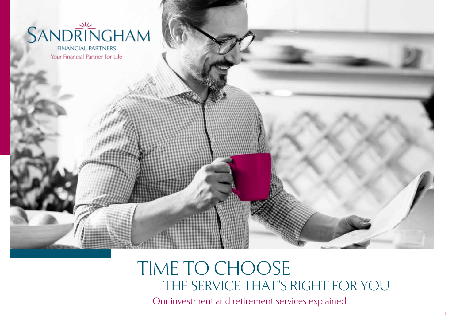

**FINANCIAL PARTNERS** Your Financial Partner for Life

# THE SERVICE THAT'S RIGHT FOR YOU TIME TO CHOOSE Our investment and retirement services explained

1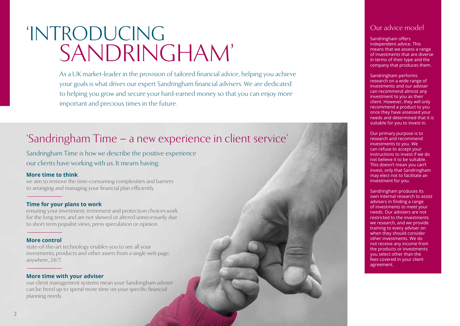# 'INTRODUCING SANDRINGHAM'

As a UK market-leader in the provision of tailored financial advice, helping you achieve your goals is what drives our expert Sandringham financial advisers. We are dedicated to helping you grow and secure your hard-earned money so that you can enjoy more important and precious times in the future.

# 'Sandringham Time – a new experience in client service'

Sandringham Time is how we describe the positive experience our clients have working with us. It means having:

#### **More time to think**

we aim to remove the time-consuming complexities and barriers to arranging and managing your financial plan efficiently.

#### **Time for your plans to work**

ensuring your investment, retirement and protection choices work for the long term, and are not skewed or altered unnecessarily due to short term populist views, press speculation or opinion.

#### **More control**

state-of-the-art technology enables you to see all your investments, products and other assets from a single web page, anywhere, 24/7.

#### **More time with your adviser**

our client management systems mean your Sandringham adviser can be freed up to spend more time on your specific financial planning needs.

## Our advice model

Sandringham offers independent advice. This means that we assess a range of investments that are diverse in terms of their type and the company that produces them.

Sandringham performs research on a wide range of investments and our adviser can recommend almost any investment to you as their client. However, they will only recommend a product to you once they have assessed your needs and determined that it is suitable for you to invest in.

Our primary purpose is to research and recommend investments to you. We can refuse to accept your instructions to invest if we do not believe it to be suitable. This doesn't mean you can't invest, only that Sandringham may elect not to facilitate an investment for you.

Sandringham produces its own internal research to assist advisers in finding a range of investments to meet your needs. Our advisers are not restricted to the investments we research, and we provide training to every adviser on when they should consider other investments. We do not receive any income from the products or investments you select other than the fees covered in your client agreement.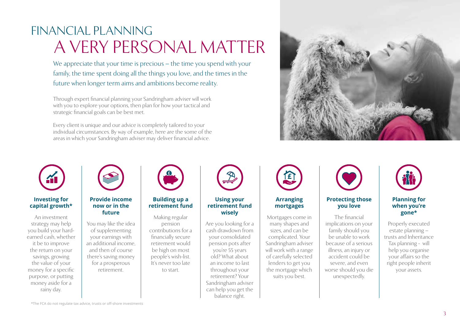# FINANCIAL PLANNING A VERY PERSONAL MATTER

We appreciate that your time is precious – the time you spend with your family, the time spent doing all the things you love, and the times in the future when longer term aims and ambitions become reality.

Through expert financial planning your Sandringham adviser will work with you to explore your options, then plan for how your tactical and strategic financial goals can be best met.

Every client is unique and our advice is completely tailored to your individual circumstances. By way of example, here are the some of the areas in which your Sandringham adviser may deliver financial advice.



#### **Investing for capital growth\***

An investment strategy may help you build your hardearned cash, whether it be to improve the return on your savings, growing the value of your money for a specific purpose, or putting money aside for a rainy day.



#### **Provide income now or in the future**

You may like the idea of supplementing your earnings with an additional income, and then of course there's saving money for a prosperous retirement.



### **Building up a retirement fund**

Making regular pension contributions for a financially secure retirement would be high on most people's wish-list. It's never too late to start.



#### **Using your retirement fund wisely**

Are you looking for a cash drawdown from your consolidated pension pots after you're 55 years old? What about an income to last throughout your retirement? Your Sandringham adviser can help you get the balance right.



#### **Arranging mortgages**

Mortgages come in many shapes and sizes, and can be complicated. Your Sandringham adviser will work with a range of carefully selected lenders to get you the mortgage which suits you best.



#### **Protecting those you love**

The financial implications on your family should you be unable to work because of a serious illness, an injury or accident could be severe, and even worse should you die unexpectedly.



#### **Planning for when you're gone\***

Properly executed estate planning – trusts and Inheritance Tax planning - will help you organise your affairs so the right people inherit your assets.

\*The FCA do not regulate tax advice, trusts or off-shore investments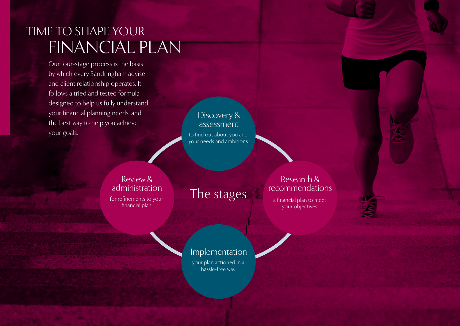# TIME TO SHAPE YOUR FINANCIAL PLAN

Our four-stage process is the basis by which every Sandringham adviser and client relationship operates. It follows a tried and tested formula designed to help us fully understand your financial planning needs, and the best way to help you achieve your goals.

to find out about you and your needs and ambitions Discovery & assessment

for refinements to your financial plan Review & administration

The stages

Research & recommendations

a financial plan to meet your objectives

your plan actioned in a hassle-free way Implementation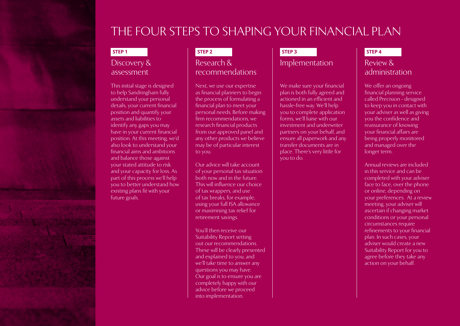# THE FOUR STEPS TO SHAPING YOUR FINANCIAL PLAN

# Discovery & assessment

This initial stage is designed to help Sandringham fully understand your personal details, your current financial position and quantify your assets and liabilities to identify any gaps you may have in your current financial position. At this meeting, we'd also look to understand your financial aims and ambitions and balance those against your stated attitude to risk and your capacity for loss. As part of this process we'll help you to better understand how existing plans fit with your future goals.

# Research & recommendations

Next, we use our expertise as financial planners to begin the process of formulating a financial plan to meet your personal needs. Before making firm recommendations, we research financial products from our approved panel and any other products we believe may be of particular interest to you.

Our advice will take account of your personal tax situation both now and in the future. This will influence our choice of tax wrappers, and use of tax breaks, for example, using your full ISA allowance or maximising tax relief for retirement savings.

You'll then receive our Suitability Report setting out our recommendations. These will be clearly presented and explained to you, and we'll take time to answer any questions you may have. Our goal is to ensure you are completely happy with our advice before we proceed into implementation.

#### **STEP 1 STEP 2 STEP 3 STEP 4**

# Implementation Review &

We make sure your financial plan is both fully agreed and actioned in an efficient and hassle-free way. We'll help you to complete application forms, we'll liaise with our investment and underwriter partners on your behalf, and ensure all paperwork and any transfer documents are in place. There's very little for you to do.

# administration

We offer an ongoing financial planning service called Precision - designed to keep you in contact with your adviser as well as giving you the confidence and reassurance of knowing your financial affairs are being properly monitored and managed over the longer term.

Annual reviews are included in this service and can be completed with your adviser face to face, over the phone or online, depending on your preferences. At a review meeting, your adviser will ascertain if changing market conditions or your personal circumstances require refinements to your financial plan. In such cases, your adviser would create a new Suitability Report for you to agree before they take any action on your behalf.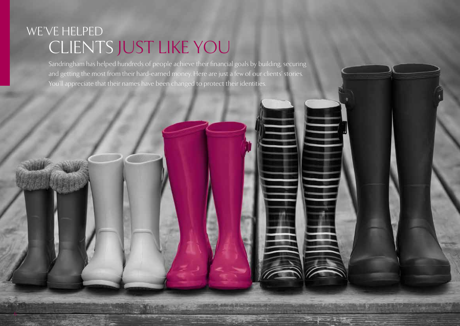# WE'VE HELPED CLIENTS JUST LIKE YOU

6

Sandringham has helped hundreds of people achieve their financial goals by building, securing and getting the most from their hard-earned money. Here are just a few of our clients' stories. You'll appreciate that their names have been changed to protect their identities.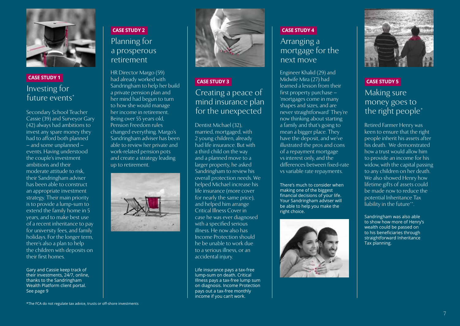

# Investing for future events\* **CASE STUDY 1**

Secondary School Teacher Cassie (39) and Surveyor Gary (42) always had ambitions to invest any spare money they had to afford both planned – and some unplanned – events. Having understood the couple's investment ambitions and their moderate attitude to risk, their Sandringham adviser has been able to construct an appropriate investment strategy. Their main priority is to provide a lump-sum to extend the family home in 5 years, and to make best use of a recent inheritance to pay for university fees, and family holidays. For the longer term, there's also a plan to help the children with deposits on their first homes.

Gary and Cassie keep track of their investments, 24/7, online, thanks to the Sandringham Wealth Platform client portal. See page 9

# Planning for a prosperous retirement **CASE STUDY 2**

HR Director Margo (59) had already worked with Sandringham to help her build a private pension plan and her mind had begun to turn to how she would manage her income in retirement. Being over 55 years old, Pension Freedom rules changed everything. Margo's Sandringham adviser has been able to review her private and work-related pension pots and create a strategy leading up to retirement.





# Creating a peace of mind insurance plan for the unexpected **CASE STUDY 3**

Dentist Michael (32), married, mortgaged, with 2 young children, already had life insurance. But with a third child on the way and a planned move to a larger property, he asked Sandringham to review his overall protection needs. We helped Michael increase his life insurance (more cover for nearly the same price), and helped him arrange Critical Illness Cover in case he was ever diagnosed with a specified serious illness. He now also has Income Protection should he be unable to work due to a serious illness, or an accidental injury.

Life insurance pays a tax-free lump-sum on death. Critical Illness pays a tax-free lump sum on diagnosis. Income Protection pays out a tax-free monthly income if you can't work.

### **CASE STUDY 4**

## Arranging a mortgage for the next move

Engineer Khalid (29) and Midwife Mira (27) had learned a lesson from their first property purchase – 'mortgages come in many shapes and sizes, and are never straightforward' They're now thinking about starting a family and that's going to mean a bigger place. They have the deposit, and we've illustrated the pros and cons of a repayment mortgage vs interest only, and the differences between fixed-rate vs variable rate repayments.

There's much to consider when making one of the biggest financial decisions of your life. Your Sandringham adviser will be able to help you make the right choice.





## **CASE STUDY 5**

# Making sure money goes to the right people\*

Retired Farmer Henry was keen to ensure that the right people inherit his assets after his death. We demonstrated how a trust would allow him to provide an income for his widow, with the capital passing to any children on her death. We also showed Henry how lifetime gifts of assets could be made now to reduce the potential Inheritance Tax liability in the future\*\*.

Sandringham was also able to show how more of Henry's wealth could be passed on to his beneficiaries through straightforward Inheritance Tax planning.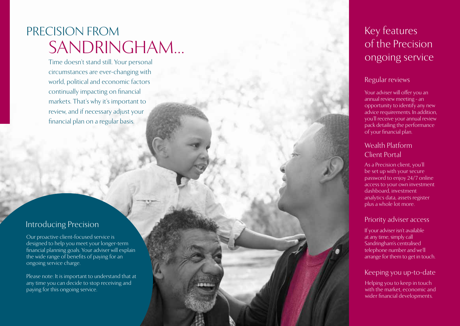# PRECISION FROM SANDRINGHAM…

Time doesn't stand still. Your personal circumstances are ever-changing with world, political and economic factors continually impacting on financial markets. That's why it's important to review, and if necessary adjust your financial plan on a regular basis.

# Introducing Precision

Our proactive client-focused service is designed to help you meet your longer-term financial planning goals. Your adviser will explain the wide range of benefits of paying for an ongoing service charge.

Please note: It is important to understand that at any time you can decide to stop receiving and paying for this ongoing service.

# Key features of the Precision ongoing service

## Regular reviews

Your adviser will offer you an annual review meeting - an opportunity to identify any new advice requirements. In addition, you'll receive your annual review pack detailing the performance of your financial plan.

# Wealth Platform Client Portal

As a Precision client, you'll be set up with your secure password to enjoy 24/7 online access to your own investment dashboard, investment analytics data, assets register plus a whole lot more.

### Priority adviser access

If your adviser isn't available at any time, simply call Sandringham's centralised telephone number and we'll arrange for them to get in touch.

## Keeping you up-to-date

Helping you to keep in touch with the market, economic and wider financial developments.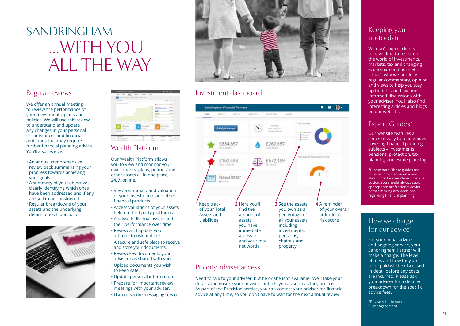# SANDRINGHAM …WITH YOU ALL THE WAY

## Regular reviews

We offer an annual meeting to review the performance of your investments, plans and policies. We will use this review to understand and update any changes in your personal circumstances and financial ambitions that may require further financial planning advice. You'll also receive:

- An annual comprehensive review pack summarising your progress towards achieving your goals.
- A summary of your objectives clearly identifying which ones have been addressed and if any are still to be considered.
- Regular breakdowns of your assets and the underlying details of each portfolio.





# Wealth Platform

Our Wealth Platform allows you to view and monitor your investments, plans, policies and other assets all in one place, 24/7, online.

- View a summary and valuation of your investments and other financial products.
- Access valuations of your assets held on third party platforms.
- Analyse individual assets and their performance over time.
- Review and update your attitude to risk and loss.
- A secure and safe place to receive and store your documents.
- Review key documents your adviser has shared with you.
- Upload documents you wish to keep safe.
- Update personal information.
- Prepare for important review meetings with your adviser.
- Use our secure messaging service.



## Investment dashboard



### Priority adviser access

Need to talk to your adviser, but he or she isn't available? We'll take your details and ensure your adviser contacts you as soon as they are free. As part of the Precision service, you can contact your adviser for financial advice at any time, so you don't have to wait for the next annual review.

## Keeping you up-to-date

We don't expect clients to have time to research the world of investments, markets, tax and changing economic conditions etc. – that's why we produce regular commentary, opinion and views to help you stay up-to-date and have more informed discussions with your adviser. You'll also find interesting articles and blogs on our website.

# Expert Guides\*

Our website features a series of easy to read guides covering financial planning subjects – investments, pensions, protection, tax planning and estate planning.

\*Please note: These guides are for your information only and should not be considered financial advice. You should always seek appropriate professional advice before making any decisions regarding financial planning.

## How we charge for our advice<sup>\*</sup>

For your initial advice and ongoing service, your Sandringham Partner will make a charge. The level of fees and how they are to be paid will be discussed in detail before any costs are incurred. Please ask your adviser for a detailed breakdown for the specific advice fees.

\*Please refer to your Client Agreement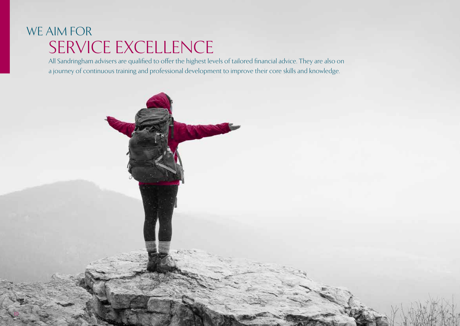# WE AIM FOR SERVICE EXCELLENCE

10

All Sandringham advisers are qualified to offer the highest levels of tailored financial advice. They are also on a journey of continuous training and professional development to improve their core skills and knowledge.

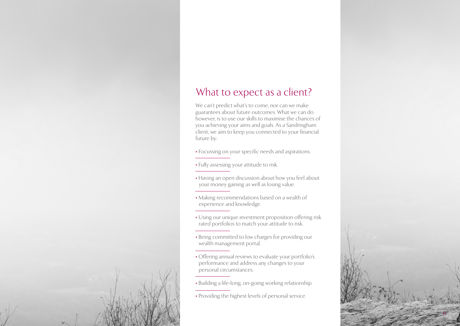# What to expect as a client?

We can't predict what's to come, nor can we make guarantees about future outcomes. What we can do however, is to use our skills to maximise the chances of you achieving your aims and goals. As a Sandringham client, we aim to keep you connected to your financial future by:

- Focussing on your specific needs and aspirations.
- Fully assessing your attitude to risk.
- Having an open discussion about how you feel about your money gaining as well as losing value.
- Making recommendations based on a wealth of experience and knowledge.
- Using our unique investment proposition offering risk rated portfolios to match your attitude to risk.
- Being committed to low charges for providing our wealth management portal.
- Offering annual reviews to evaluate your portfolio's performance and address any changes to your personal circumstances.
- Building a life-long, on-going working relationship.
- Providing the highest levels of personal service.